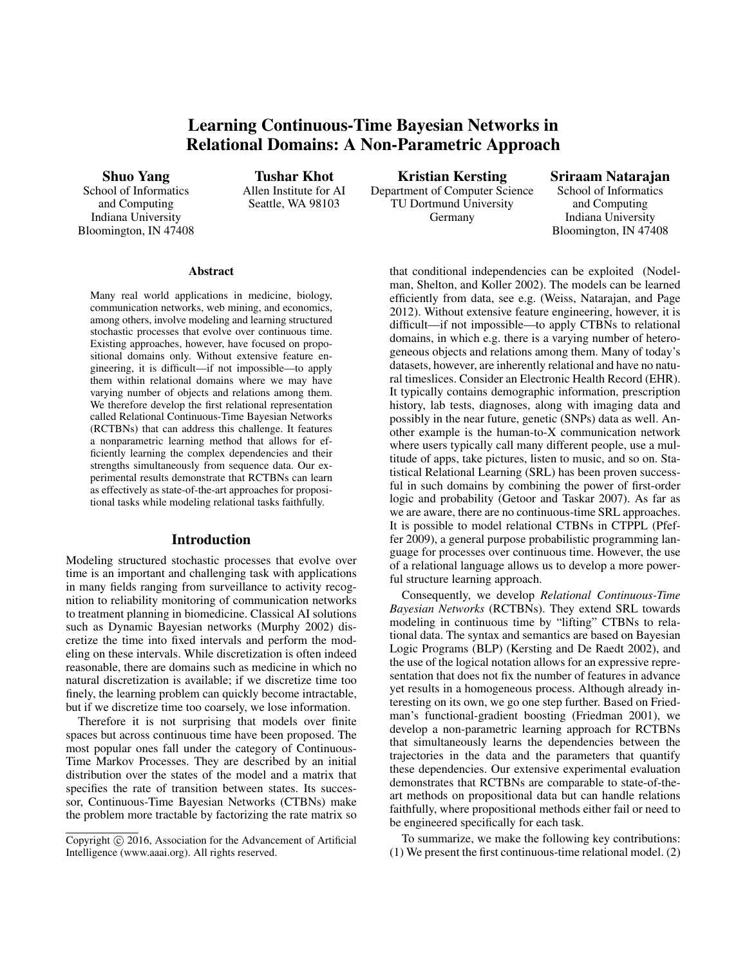# Learning Continuous-Time Bayesian Networks in Relational Domains: A Non-Parametric Approach

Shuo Yang

School of Informatics and Computing Indiana University Bloomington, IN 47408

Tushar Khot Allen Institute for AI

Seattle, WA 98103

Kristian Kersting Department of Computer Science TU Dortmund University Germany

Sriraam Natarajan

School of Informatics and Computing Indiana University Bloomington, IN 47408

#### Abstract

Many real world applications in medicine, biology, communication networks, web mining, and economics, among others, involve modeling and learning structured stochastic processes that evolve over continuous time. Existing approaches, however, have focused on propositional domains only. Without extensive feature engineering, it is difficult—if not impossible—to apply them within relational domains where we may have varying number of objects and relations among them. We therefore develop the first relational representation called Relational Continuous-Time Bayesian Networks (RCTBNs) that can address this challenge. It features a nonparametric learning method that allows for efficiently learning the complex dependencies and their strengths simultaneously from sequence data. Our experimental results demonstrate that RCTBNs can learn as effectively as state-of-the-art approaches for propositional tasks while modeling relational tasks faithfully.

## Introduction

Modeling structured stochastic processes that evolve over time is an important and challenging task with applications in many fields ranging from surveillance to activity recognition to reliability monitoring of communication networks to treatment planning in biomedicine. Classical AI solutions such as Dynamic Bayesian networks (Murphy 2002) discretize the time into fixed intervals and perform the modeling on these intervals. While discretization is often indeed reasonable, there are domains such as medicine in which no natural discretization is available; if we discretize time too finely, the learning problem can quickly become intractable, but if we discretize time too coarsely, we lose information.

Therefore it is not surprising that models over finite spaces but across continuous time have been proposed. The most popular ones fall under the category of Continuous-Time Markov Processes. They are described by an initial distribution over the states of the model and a matrix that specifies the rate of transition between states. Its successor, Continuous-Time Bayesian Networks (CTBNs) make the problem more tractable by factorizing the rate matrix so that conditional independencies can be exploited (Nodelman, Shelton, and Koller 2002). The models can be learned efficiently from data, see e.g. (Weiss, Natarajan, and Page 2012). Without extensive feature engineering, however, it is difficult—if not impossible—to apply CTBNs to relational domains, in which e.g. there is a varying number of heterogeneous objects and relations among them. Many of today's datasets, however, are inherently relational and have no natural timeslices. Consider an Electronic Health Record (EHR). It typically contains demographic information, prescription history, lab tests, diagnoses, along with imaging data and possibly in the near future, genetic (SNPs) data as well. Another example is the human-to-X communication network where users typically call many different people, use a multitude of apps, take pictures, listen to music, and so on. Statistical Relational Learning (SRL) has been proven successful in such domains by combining the power of first-order logic and probability (Getoor and Taskar 2007). As far as we are aware, there are no continuous-time SRL approaches. It is possible to model relational CTBNs in CTPPL (Pfeffer 2009), a general purpose probabilistic programming language for processes over continuous time. However, the use of a relational language allows us to develop a more powerful structure learning approach.

Consequently, we develop *Relational Continuous-Time Bayesian Networks* (RCTBNs). They extend SRL towards modeling in continuous time by "lifting" CTBNs to relational data. The syntax and semantics are based on Bayesian Logic Programs (BLP) (Kersting and De Raedt 2002), and the use of the logical notation allows for an expressive representation that does not fix the number of features in advance yet results in a homogeneous process. Although already interesting on its own, we go one step further. Based on Friedman's functional-gradient boosting (Friedman 2001), we develop a non-parametric learning approach for RCTBNs that simultaneously learns the dependencies between the trajectories in the data and the parameters that quantify these dependencies. Our extensive experimental evaluation demonstrates that RCTBNs are comparable to state-of-theart methods on propositional data but can handle relations faithfully, where propositional methods either fail or need to be engineered specifically for each task.

To summarize, we make the following key contributions: (1) We present the first continuous-time relational model. (2)

Copyright (c) 2016, Association for the Advancement of Artificial Intelligence (www.aaai.org). All rights reserved.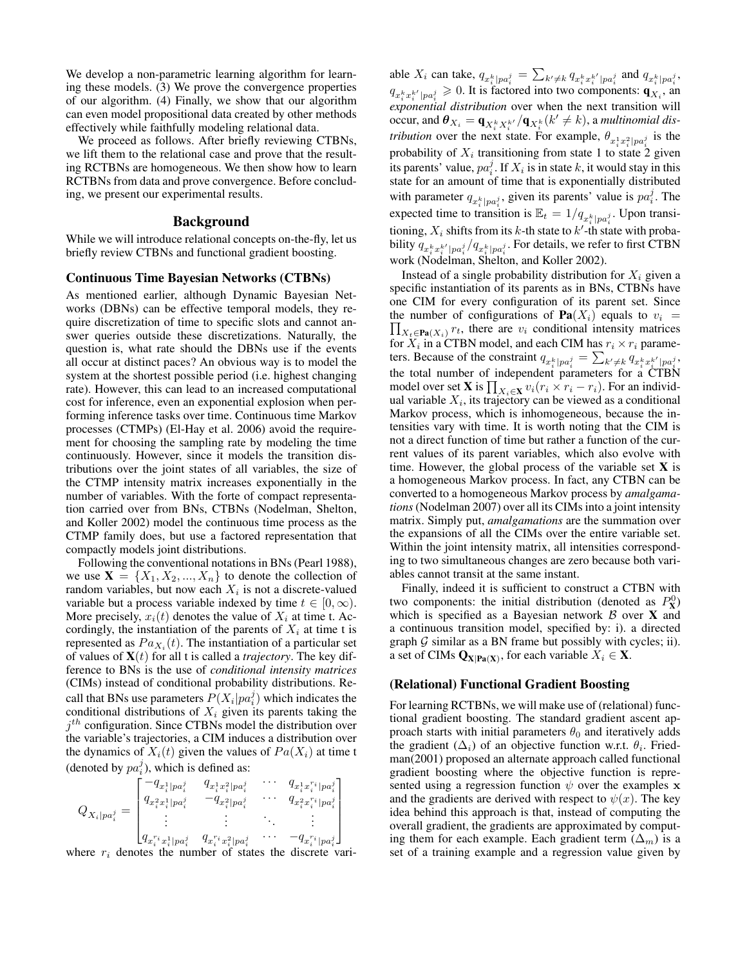We develop a non-parametric learning algorithm for learning these models. (3) We prove the convergence properties of our algorithm. (4) Finally, we show that our algorithm can even model propositional data created by other methods effectively while faithfully modeling relational data.

We proceed as follows. After briefly reviewing CTBNs, we lift them to the relational case and prove that the resulting RCTBNs are homogeneous. We then show how to learn RCTBNs from data and prove convergence. Before concluding, we present our experimental results.

# Background

While we will introduce relational concepts on-the-fly, let us briefly review CTBNs and functional gradient boosting.

#### Continuous Time Bayesian Networks (CTBNs)

As mentioned earlier, although Dynamic Bayesian Networks (DBNs) can be effective temporal models, they require discretization of time to specific slots and cannot answer queries outside these discretizations. Naturally, the question is, what rate should the DBNs use if the events all occur at distinct paces? An obvious way is to model the system at the shortest possible period (i.e. highest changing rate). However, this can lead to an increased computational cost for inference, even an exponential explosion when performing inference tasks over time. Continuous time Markov processes (CTMPs) (El-Hay et al. 2006) avoid the requirement for choosing the sampling rate by modeling the time continuously. However, since it models the transition distributions over the joint states of all variables, the size of the CTMP intensity matrix increases exponentially in the number of variables. With the forte of compact representation carried over from BNs, CTBNs (Nodelman, Shelton, and Koller 2002) model the continuous time process as the CTMP family does, but use a factored representation that compactly models joint distributions.

Following the conventional notations in BNs (Pearl 1988), we use  $X = \{X_1, X_2, ..., X_n\}$  to denote the collection of random variables, but now each  $X_i$  is not a discrete-valued variable but a process variable indexed by time  $t \in [0, \infty)$ . More precisely,  $x_i(t)$  denotes the value of  $X_i$  at time t. Accordingly, the instantiation of the parents of  $X_i$  at time t is represented as  $Pa_{X_i}(t)$ . The instantiation of a particular set of values of  $X(t)$  for all t is called a *trajectory*. The key difference to BNs is the use of *conditional intensity matrices* (CIMs) instead of conditional probability distributions. Recall that BNs use parameters  $P(X_i|pa_i^j)$  which indicates the conditional distributions of  $X_i$  given its parents taking the  $j<sup>th</sup>$  configuration. Since CTBNs model the distribution over the variable's trajectories, a CIM induces a distribution over the dynamics of  $X_i(t)$  given the values of  $Pa(X_i)$  at time t (denoted by  $pa_i^j$ ), which is defined as:

$$
Q_{X_i|pa_i^j} = \begin{bmatrix} -q_{x_i^1|pa_i^j} & q_{x_i^1x_i^2|pa_i^j} & \cdots & q_{x_i^1x_i^{r_i}|pa_i^j} \\ q_{x_i^2x_i^1|pa_i^j} & -q_{x_i^2|pa_i^j} & \cdots & q_{x_i^2x_i^{r_i}|pa_i^j} \\ \vdots & \vdots & \ddots & \vdots \\ q_{x_i^{r_i}x_i^1|pa_i^j} & q_{x_i^{r_i}x_i^2|pa_i^j} & \cdots & -q_{x_i^{r_i}|pa_i^j} \\ \text{base } x_i \text{ denotes the number of states the discrete two} \end{bmatrix}
$$

where  $r_i$  denotes the number of states the discrete vari-

able  $X_i$  can take,  $q_{x_i^k|pa_i^j} = \sum_{k'\neq k} q_{x_i^k x_i^{k'}|pa_i^j}$  and  $q_{x_i^k|pa_i^j}$ ,  $q_{x_i^k x_i^{k'} | pa_i^j} \ge 0$ . It is factored into two components:  $\mathbf{q}_{X_i}$ , an *exponential distribution* over when the next transition will occur, and  $\bm{\theta}_{X_i} = \bm{q}_{X_i^k X_i^{k'}} / \bm{q}_{X_i^k} (k' \neq k)$ , a *multinomial distribution* over the next state. For example,  $\theta_{x_i^1 x_i^2 | pa_i^j}$  is the probability of  $X_i$  transitioning from state 1 to state 2 given its parents' value,  $pa_i^j$ . If  $X_i$  is in state  $k$ , it would stay in this state for an amount of time that is exponentially distributed with parameter  $q_{x_i^k|pa_i^j}$ , given its parents' value is  $pa_i^j$ . The expected time to transition is  $\mathbb{E}_t = 1/q_{x_i^k|pa_i^j}$ . Upon transitioning,  $X_i$  shifts from its k-th state to  $k'$ -th state with probability  $q_{x_i^k x_i^{k'} | pa_i^j}/q_{x_i^k | pa_i^j}$ . For details, we refer to first CTBN work (Nodelman, Shelton, and Koller 2002).

Instead of a single probability distribution for  $X_i$  given a specific instantiation of its parents as in BNs, CTBNs have one CIM for every configuration of its parent set. Since  $\prod_{X_t \in \textbf{Pa}(X_i)} r_t$ , there are  $v_i$  conditional intensity matrices the number of configurations of  $\textbf{Pa}(X_i)$  equals to  $v_i$  = for  $X_i$  in a CTBN model, and each CIM has  $r_i \times r_i$  parameters. Because of the constraint  $q_{x_i^k|pa_i^j} = \sum_{k' \neq k} q_{x_i^k x_i^{k'}|pa_i^j}$ , the total number of independent parameters for a CTBN model over set **X** is  $\prod_{X_i \in \mathbf{X}} v_i (r_i \times r_i - r_i)$ . For an individual variable  $X_i$ , its trajectory can be viewed as a conditional Markov process, which is inhomogeneous, because the intensities vary with time. It is worth noting that the CIM is not a direct function of time but rather a function of the current values of its parent variables, which also evolve with time. However, the global process of the variable set  $X$  is a homogeneous Markov process. In fact, any CTBN can be converted to a homogeneous Markov process by *amalgamations*(Nodelman 2007) over all its CIMs into a joint intensity matrix. Simply put, *amalgamations* are the summation over the expansions of all the CIMs over the entire variable set. Within the joint intensity matrix, all intensities corresponding to two simultaneous changes are zero because both variables cannot transit at the same instant.

Finally, indeed it is sufficient to construct a CTBN with two components: the initial distribution (denoted as  $P_{\text{X}}^{0}$ ) which is specified as a Bayesian network  $\beta$  over X and a continuous transition model, specified by: i). a directed graph  $G$  similar as a BN frame but possibly with cycles; ii). a set of CIMs  $\mathbf{Q}_{\mathbf{X}|\mathbf{Pa}(\mathbf{X})}$ , for each variable  $X_i \in \mathbf{X}$ .

## (Relational) Functional Gradient Boosting

For learning RCTBNs, we will make use of (relational) functional gradient boosting. The standard gradient ascent approach starts with initial parameters  $\theta_0$  and iteratively adds the gradient  $(\Delta_i)$  of an objective function w.r.t.  $\theta_i$ . Friedman(2001) proposed an alternate approach called functional gradient boosting where the objective function is represented using a regression function  $\psi$  over the examples x and the gradients are derived with respect to  $\psi(x)$ . The key idea behind this approach is that, instead of computing the overall gradient, the gradients are approximated by computing them for each example. Each gradient term  $(\Delta_m)$  is a set of a training example and a regression value given by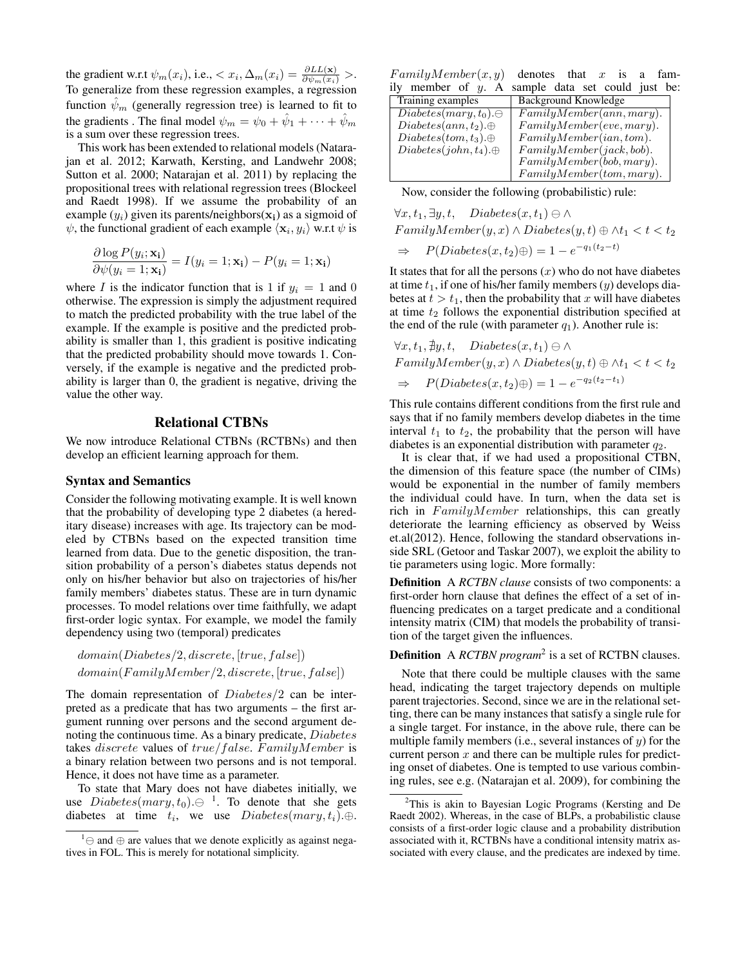the gradient w.r.t  $\psi_m(x_i)$ , i.e.,  $\langle x_i, \Delta_m(x_i) = \frac{\partial LL(x)}{\partial \psi_m(x_i)} \rangle$ . To generalize from these regression examples, a regression function  $\psi_m$  (generally regression tree) is learned to fit to the gradients . The final model  $\psi_m = \psi_0 + \hat{\psi}_1 + \cdots + \hat{\psi}_m$ is a sum over these regression trees.

This work has been extended to relational models (Natarajan et al. 2012; Karwath, Kersting, and Landwehr 2008; Sutton et al. 2000; Natarajan et al. 2011) by replacing the propositional trees with relational regression trees (Blockeel and Raedt 1998). If we assume the probability of an example  $(y_i)$  given its parents/neighbors $(x_i)$  as a sigmoid of  $\psi$ , the functional gradient of each example  $\langle \mathbf{x}_i, y_i \rangle$  w.r.t  $\psi$  is

$$
\frac{\partial \log P(y_i; \mathbf{x_i})}{\partial \psi(y_i = 1; \mathbf{x_i})} = I(y_i = 1; \mathbf{x_i}) - P(y_i = 1; \mathbf{x_i})
$$

where I is the indicator function that is 1 if  $y_i = 1$  and 0 otherwise. The expression is simply the adjustment required to match the predicted probability with the true label of the example. If the example is positive and the predicted probability is smaller than 1, this gradient is positive indicating that the predicted probability should move towards 1. Conversely, if the example is negative and the predicted probability is larger than 0, the gradient is negative, driving the value the other way.

# Relational CTBNs

We now introduce Relational CTBNs (RCTBNs) and then develop an efficient learning approach for them.

#### Syntax and Semantics

Consider the following motivating example. It is well known that the probability of developing type 2 diabetes (a hereditary disease) increases with age. Its trajectory can be modeled by CTBNs based on the expected transition time learned from data. Due to the genetic disposition, the transition probability of a person's diabetes status depends not only on his/her behavior but also on trajectories of his/her family members' diabetes status. These are in turn dynamic processes. To model relations over time faithfully, we adapt first-order logic syntax. For example, we model the family dependency using two (temporal) predicates

 $domain(Diabetes/2, discrete, [true, false])$  $domain(FamilyMember/2, discrete, [true, false])$ 

The domain representation of *Diabetes*/2 can be interpreted as a predicate that has two arguments – the first argument running over persons and the second argument denoting the continuous time. As a binary predicate, Diabetes takes *discrete* values of  $true/false. Family Member$  is a binary relation between two persons and is not temporal. Hence, it does not have time as a parameter.

To state that Mary does not have diabetes initially, we use  $Diabetes(maxy, t_0) \oplus$  <sup>1</sup>. To denote that she gets diabetes at time  $t_i$ , we use  $Diabetes(maxy, t_i) \oplus$ .

 $Family Member(x, y)$  denotes that x is a family member of  $\dot{y}$ . A sample data set could just be:

| Background Knowledge      |
|---------------------------|
| Family Member(ann,mary).  |
| Family Member(eve, Mary). |
| Family Member(ian, tom).  |
| Family Member(jack, bob). |
| Family Member(bob, Mary). |
| Family Member(tom, Mary). |
|                           |

Now, consider the following (probabilistic) rule:

$$
\forall x, t_1, \exists y, t, \quad Diabetes(x, t_1) \ominus \land
$$
  
FamilyMember
$$
(y, x) \land Diabetes(y, t) \oplus \land t_1 < t < t_2
$$
  

$$
\Rightarrow \quad P(Diabetes(x, t_2) \oplus) = 1 - e^{-q_1(t_2 - t)}
$$

It states that for all the persons  $(x)$  who do not have diabetes at time  $t_1$ , if one of his/her family members  $(y)$  develops diabetes at  $t > t_1$ , then the probability that x will have diabetes at time  $t_2$  follows the exponential distribution specified at the end of the rule (with parameter  $q_1$ ). Another rule is:

$$
\forall x, t_1, \nexists y, t, \quad Diabetes(x, t_1) \ominus \land
$$
\n
$$
FamilyMember(y, x) \land Diabetes(y, t) \oplus \land t_1 < t < t_2
$$
\n
$$
\Rightarrow \quad P(Diabetes(x, t_2) \oplus) = 1 - e^{-q_2(t_2 - t_1)}
$$

This rule contains different conditions from the first rule and says that if no family members develop diabetes in the time interval  $t_1$  to  $t_2$ , the probability that the person will have diabetes is an exponential distribution with parameter  $q_2$ .

It is clear that, if we had used a propositional CTBN, the dimension of this feature space (the number of CIMs) would be exponential in the number of family members the individual could have. In turn, when the data set is rich in  $Family Member$  relationships, this can greatly deteriorate the learning efficiency as observed by Weiss et.al(2012). Hence, following the standard observations inside SRL (Getoor and Taskar 2007), we exploit the ability to tie parameters using logic. More formally:

Definition A *RCTBN clause* consists of two components: a first-order horn clause that defines the effect of a set of influencing predicates on a target predicate and a conditional intensity matrix (CIM) that models the probability of transition of the target given the influences.

# Definition A *RCTBN program*<sup>2</sup> is a set of RCTBN clauses.

Note that there could be multiple clauses with the same head, indicating the target trajectory depends on multiple parent trajectories. Second, since we are in the relational setting, there can be many instances that satisfy a single rule for a single target. For instance, in the above rule, there can be multiple family members (i.e., several instances of  $y$ ) for the current person  $x$  and there can be multiple rules for predicting onset of diabetes. One is tempted to use various combining rules, see e.g. (Natarajan et al. 2009), for combining the

 $1$  ⊖ and ⊕ are values that we denote explicitly as against negatives in FOL. This is merely for notational simplicity.

 $2$ This is akin to Bayesian Logic Programs (Kersting and De Raedt 2002). Whereas, in the case of BLPs, a probabilistic clause consists of a first-order logic clause and a probability distribution associated with it, RCTBNs have a conditional intensity matrix associated with every clause, and the predicates are indexed by time.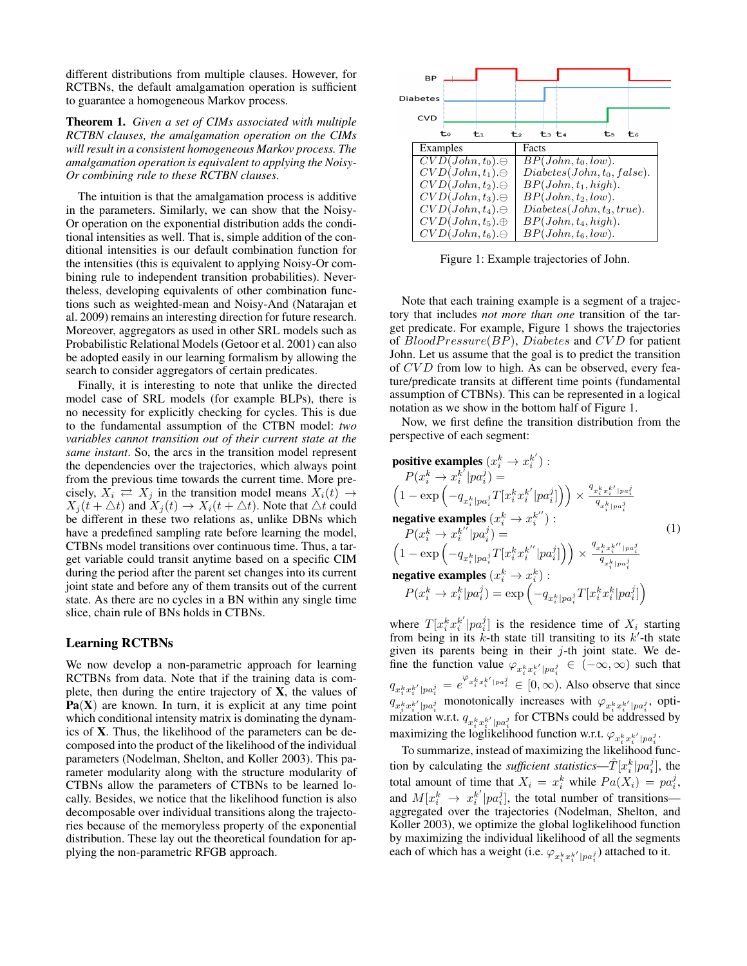different distributions from multiple clauses. However, for RCTBNs, the default amalgamation operation is sufficient to guarantee a homogeneous Markov process.

Theorem 1. *Given a set of CIMs associated with multiple RCTBN clauses, the amalgamation operation on the CIMs will result in a consistent homogeneous Markov process. The amalgamation operation is equivalent to applying the Noisy-Or combining rule to these RCTBN clauses.*

The intuition is that the amalgamation process is additive in the parameters. Similarly, we can show that the Noisy-Or operation on the exponential distribution adds the conditional intensities as well. That is, simple addition of the conditional intensities is our default combination function for the intensities (this is equivalent to applying Noisy-Or combining rule to independent transition probabilities). Nevertheless, developing equivalents of other combination functions such as weighted-mean and Noisy-And (Natarajan et al. 2009) remains an interesting direction for future research. Moreover, aggregators as used in other SRL models such as Probabilistic Relational Models (Getoor et al. 2001) can also be adopted easily in our learning formalism by allowing the search to consider aggregators of certain predicates.

Finally, it is interesting to note that unlike the directed model case of SRL models (for example BLPs), there is no necessity for explicitly checking for cycles. This is due to the fundamental assumption of the CTBN model: *two variables cannot transition out of their current state at the same instant*. So, the arcs in the transition model represent the dependencies over the trajectories, which always point from the previous time towards the current time. More precisely,  $X_i \rightleftarrows X_j$  in the transition model means  $X_i(t) \rightarrow$  $X_i(t + \triangle t)$  and  $X_i(t) \rightarrow X_i(t + \triangle t)$ . Note that  $\triangle t$  could be different in these two relations as, unlike DBNs which have a predefined sampling rate before learning the model, CTBNs model transitions over continuous time. Thus, a target variable could transit anytime based on a specific CIM during the period after the parent set changes into its current joint state and before any of them transits out of the current state. As there are no cycles in a BN within any single time slice, chain rule of BNs holds in CTBNs.

## Learning RCTBNs

We now develop a non-parametric approach for learning RCTBNs from data. Note that if the training data is complete, then during the entire trajectory of  $X$ , the values of  $Pa(X)$  are known. In turn, it is explicit at any time point which conditional intensity matrix is dominating the dynamics of X. Thus, the likelihood of the parameters can be decomposed into the product of the likelihood of the individual parameters (Nodelman, Shelton, and Koller 2003). This parameter modularity along with the structure modularity of CTBNs allow the parameters of CTBNs to be learned locally. Besides, we notice that the likelihood function is also decomposable over individual transitions along the trajectories because of the memoryless property of the exponential distribution. These lay out the theoretical foundation for applying the non-parametric RFGB approach.



Figure 1: Example trajectories of John.

Note that each training example is a segment of a trajectory that includes *not more than one* transition of the target predicate. For example, Figure 1 shows the trajectories of  $BloodPressure(BP)$ ,  $Diabetes$  and  $CVD$  for patient John. Let us assume that the goal is to predict the transition of CVD from low to high. As can be observed, every feature/predicate transits at different time points (fundamental assumption of CTBNs). This can be represented in a logical notation as we show in the bottom half of Figure 1.

Now, we first define the transition distribution from the perspective of each segment:

**positive examples** 
$$
(x_i^k \rightarrow x_i^{k'})
$$
:  
\n $P(x_i^k \rightarrow x_i^{k'} | pa_i^j) =$   
\n $\left(1 - \exp\left(-q_{x_i^k | pa_i^j} T[x_i^k x_i^{k'} | pa_i^j]\right)\right) \times \frac{q_{x_i^k x_i^k' | pa_i^j}}{q_{x_i^k | pa_i^j}}$   
\n**negative examples**  $(x_i^k \rightarrow x_i^{k''})$ :  
\n $P(x_i^k \rightarrow x_i^{k''} | pa_i^j) =$   
\n $\left(1 - \exp\left(-q_{x_i^k | pa_i^j} T[x_i^k x_i^{k''} | pa_i^j]\right)\right) \times \frac{q_{x_i^k x_i^{k''} | pa_i^j}}{q_{x_i^k | pa_i^j}}$   
\n**negative examples**  $(x_i^k \rightarrow x_i^k)$ :  
\n $P(x_i^k \rightarrow x_i^k | pa_i^j) = \exp\left(-q_{x_i^k | pa_i^j} T[x_i^k x_i^k | pa_i^j]\right)$ 

where  $T[x_i^k x_i^{k'} | pa_i^j]$  is the residence time of  $X_i$  starting from being in its  $k$ -th state till transiting to its  $k'$ -th state given its parents being in their  $j$ -th joint state. We define the function value  $\varphi_{x_s^k x_s^{k'} | pa_i^j} \in (-\infty, \infty)$  such that  $q_{x_i^k x_i^{k'} | pa_i^j} = e^{\varphi_{x_i^k x_i^{k'} | pa_i^j}} \in [0, \infty)$ . Also observe that since  $q_{x_i^k x_i^{k'} | pa_i^j}$  monotonically increases with  $\varphi_{x_i^k x_i^{k'} | pa_i^j}$ , optimization w.r.t.  $q_{x_i^k x_i^{k'} | pa_i^j}$  for CTBNs could be addressed by maximizing the loglikelihood function w.r.t.  $\varphi_{x_i^k x_i^{k'} | pa_i^j}$ .

To summarize, instead of maximizing the likelihood function by calculating the *sufficient statistics—* $\hat{T}[x_i^k|pa_i^j]$ , the total amount of time that  $X_i = x_i^k$  while  $Pa(X_i) = pa_i^j$ , and  $M[x_i^k \rightarrow x_i^{k'} | pa_i^j]$ , the total number of transitions aggregated over the trajectories (Nodelman, Shelton, and Koller 2003), we optimize the global loglikelihood function by maximizing the individual likelihood of all the segments each of which has a weight (i.e.  $\varphi_{x_i^k x_i^{k'} | pa_i^j}$ ) attached to it.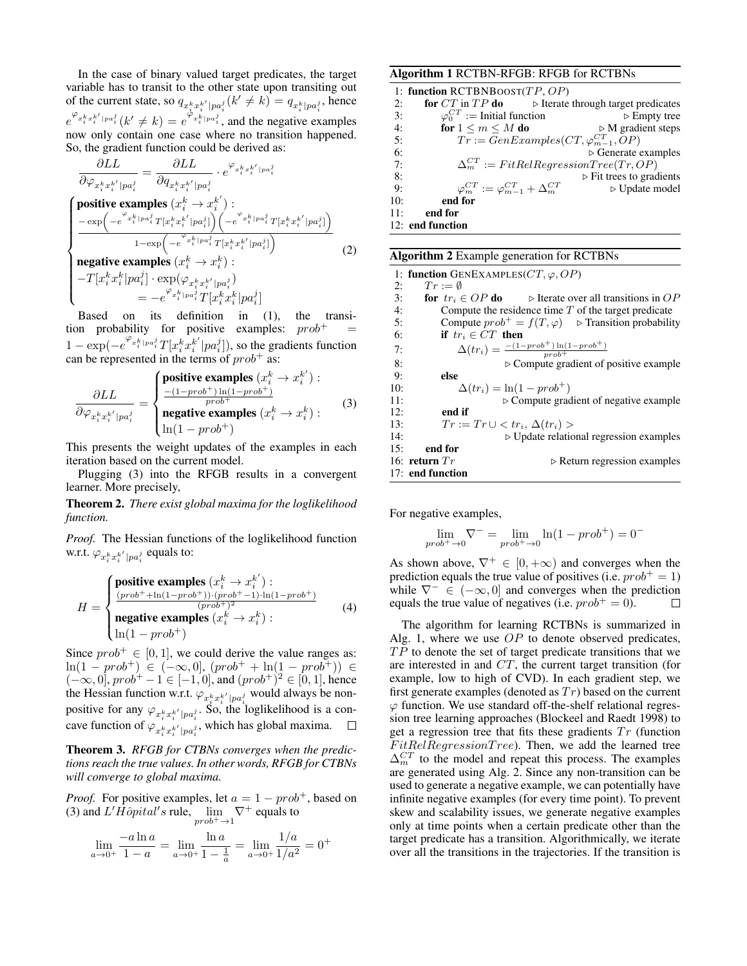In the case of binary valued target predicates, the target variable has to transit to the other state upon transiting out of the current state, so  $q_{x_i^k x_i^{k'} | pa_i^j}(k' \neq k) = q_{x_i^k | pa_i^j}$ , hence  $e^{\varphi_{x_i^k x_i^{k'} |pa_i^j}}(k' \neq k) = e^{\varphi_{x_i^k |pa_i^j}}$ , and the negative examples now only contain one case where no transition happened. So, the gradient function could be derived as:

$$
\frac{\partial LL}{\partial \varphi_{x_i^k x_i^{k'} | pa_i^j}} = \frac{\partial LL}{\partial q_{x_i^k x_i^{k'} | pa_i^j}} \cdot e^{\varphi_{x_i^k x_i^{k'} | pa_i^j}}
$$
\npositive examples

\n
$$
(x_i^k \to x_i^{k'}) : \frac{-\exp\left(-e^{\varphi_{x_i^k} | pa_i^j} T[x_i^k x_i^{k'} | pa_i^j]\right) \left(-e^{\varphi_{x_i^k} | pa_i^j} T[x_i^k x_i^{k'} | pa_i^j]\right)}{1 - \exp\left(-e^{\varphi_{x_i^k} | Pa_i^j} T[x_i^k x_i^{k'} | pa_i^j]\right)}
$$
\nnegative examples

\n
$$
(x_i^k \to x_i^k) : \frac{-T[x_i^k x_i^k | pa_i^j] \cdot \exp(\varphi_{x_i^k x_i^{k'}} | pa_i^j]}{-T[x_i^k x_i^k | pa_i^j] T[x_i^k x_i^k | pa_i^j]}
$$
\n
$$
= -e^{\varphi_{x_i^k} | pa_i^j} T[x_i^k x_i^k | pa_i^j]
$$

Based on its definition in (1), the transition probability for positive examples:  $prob^+$  $1 - \exp(-e^{\varphi_{x_i^k|pa_i^j}}T[x_i^k x_i^{k'}|pa_i^j])$ , so the gradients function can be represented in the terms of  $prob^+$  as:

$$
\frac{\partial LL}{\partial \varphi_{x_i^k x_i^{k'} | pa_i^j}} = \begin{cases}\n\text{positive examples } (x_i^k \to x_i^{k'}) : \\
\frac{-(1 - prob^+) \ln(1 - prob^+)}{prob^+} \\
\text{negative examples } (x_i^k \to x_i^k) : \\
\ln(1 - prob^+) \n\end{cases} \tag{3}
$$

This presents the weight updates of the examples in each iteration based on the current model.

Plugging (3) into the RFGB results in a convergent learner. More precisely,

Theorem 2. *There exist global maxima for the loglikelihood function.*

*Proof.* The Hessian functions of the loglikelihood function w.r.t.  $\varphi_{x_i^k x_i^{k'} | pa_i^j}$  equals to:

$$
H = \begin{cases} \text{positive examples } (x_i^k \to x_i^{k'}) : \\ \frac{(prob^+ + \ln(1 - prob^+)) \cdot (prob^+ - 1) \cdot \ln(1 - prob^+)}{(prob^+)^2} \\ \text{negative examples } (x_i^k \to x_i^k) : \\ \ln(1 - prob^+) \end{cases} \tag{4}
$$

Since  $prob^+ \in [0, 1]$ , we could derive the value ranges as: ln(1 − prob<sup>+</sup>) ∈ (−∞,0], (prob<sup>+</sup> + ln(1 − prob<sup>+</sup>)) ∈  $(-\infty, 0]$ ,  $prob^+ - 1 \in [-1, 0]$ , and  $(prob^+)^2 \in [0, 1]$ , hence the Hessian function w.r.t.  $\varphi_{x_s^k x_s^{k'} | pa_j^j}$  would always be nonpositive for any  $\varphi_{x_i^k x_i^{k'} | pa_i^j}$ . So, the loglikelihood is a concave function of  $\varphi_{x_i^k x_i^{k'} | pa_i^j}$ , which has global maxima.  $\Box$ 

Theorem 3. *RFGB for CTBNs converges when the predictions reach the true values. In other words, RFGB for CTBNs will converge to global maxima.*

*Proof.* For positive examples, let  $a = 1 - prob^+,$  based on (3) and  $L' \hat{H} \hat{op}ital's$  rule,  $\lim_{prob^{+} \to 1} \nabla^{+}$  equals to

$$
\lim_{a \to 0^+} \frac{-a \ln a}{1 - a} = \lim_{a \to 0^+} \frac{\ln a}{1 - \frac{1}{a}} = \lim_{a \to 0^+} \frac{1/a}{1/a^2} = 0^+
$$

### Algorithm 1 RCTBN-RFGB: RFGB for RCTBNs

|     | 1: function RCTBNB00ST( $TP, OP$ )                                                   |                                         |
|-----|--------------------------------------------------------------------------------------|-----------------------------------------|
| 2:  | <b>for</b> $CT$ in $TP$ <b>do</b> $\triangleright$ Iterate through target predicates |                                         |
| 3:  | $\varphi_0^{CT}$ := Initial function                                                 | $\triangleright$ Empty tree             |
| 4:  | for $1 \leq m \leq M$ do                                                             | $\triangleright$ M gradient steps       |
| 5:  | $Tr := GenExamples(CT, \varphi_{m-1}^{CT}, \overline{OP})$                           |                                         |
| 6:  |                                                                                      | $\triangleright$ Generate examples      |
| 7:  | $\Delta_m^{CT} := FitRelRegressionTree(Tr, OP)$                                      |                                         |
| 8:  |                                                                                      | $\triangleright$ Fit trees to gradients |
| 9:  | $\varphi_m^{CT} := \varphi_{m-1}^{CT} + \Delta_m^{CT}$                               | $\triangleright$ Update model           |
| 10: | end for                                                                              |                                         |
| 11: | end for                                                                              |                                         |
|     | 12: end function                                                                     |                                         |

| <b>Algorithm 2</b> Example generation for RCTBNs |                                                                                     |                                             |  |  |
|--------------------------------------------------|-------------------------------------------------------------------------------------|---------------------------------------------|--|--|
| 1: function GENEXAMPLES( $CT, \varphi, OP$ )     |                                                                                     |                                             |  |  |
| 2:                                               | $Tr := \emptyset$                                                                   |                                             |  |  |
| 3:                                               | <b>for</b> $tr_i \in OP$ <b>do</b> $\rightarrow$ Iterate over all transitions in OP |                                             |  |  |
| 4:                                               | Compute the residence time $T$ of the target predicate                              |                                             |  |  |
| 5:                                               | Compute $prob^+ = f(T, \varphi)$ $\triangleright$ Transition probability            |                                             |  |  |
| 6:                                               | if $tr_i \in CT$ then                                                               |                                             |  |  |
| 7:                                               | $\Delta(tr_i) = \frac{-(1-prob^{+})\ln(1-prob^{+})}{\text{prob}^{+}}$               |                                             |  |  |
| 8:                                               | $\triangleright$ Compute gradient of positive example                               |                                             |  |  |
| 9:                                               | else                                                                                |                                             |  |  |
| 10:                                              | $\Delta(tr_i) = \ln(1 - prob^+)$                                                    |                                             |  |  |
| 11:                                              | $\triangleright$ Compute gradient of negative example                               |                                             |  |  |
| 12:                                              | end if                                                                              |                                             |  |  |
| 13:                                              | $Tr := Tr \cup \langle tr_i, \Delta(tr_i) \rangle$                                  |                                             |  |  |
| 14:                                              | $\triangleright$ Update relational regression examples                              |                                             |  |  |
| 15:                                              | end for                                                                             |                                             |  |  |
|                                                  | 16: return $Tr$                                                                     | $\triangleright$ Return regression examples |  |  |
|                                                  | 17: end function                                                                    |                                             |  |  |

For negative examples,

$$
\lim_{prob^{+} \to 0} \nabla^{-} = \lim_{prob^{+} \to 0} \ln(1 - prob^{+}) = 0^{-}
$$

As shown above,  $\nabla^+ \in [0, +\infty)$  and converges when the prediction equals the true value of positives (i.e.  $prob^+=1$ ) while  $\nabla^- \in (-\infty, 0]$  and converges when the prediction equals the true value of negatives (i.e.  $prob^+ = 0$ ).  $\Box$ 

The algorithm for learning RCTBNs is summarized in Alg. 1, where we use  $OP$  to denote observed predicates,  $TP$  to denote the set of target predicate transitions that we are interested in and CT, the current target transition (for example, low to high of CVD). In each gradient step, we first generate examples (denoted as  $Tr$ ) based on the current  $\varphi$  function. We use standard off-the-shelf relational regression tree learning approaches (Blockeel and Raedt 1998) to get a regression tree that fits these gradients  $Tr$  (function  $FitRelRegression Tree$ ). Then, we add the learned tree  $\Delta_m^{CT}$  to the model and repeat this process. The examples are generated using Alg. 2. Since any non-transition can be used to generate a negative example, we can potentially have infinite negative examples (for every time point). To prevent skew and scalability issues, we generate negative examples only at time points when a certain predicate other than the target predicate has a transition. Algorithmically, we iterate over all the transitions in the trajectories. If the transition is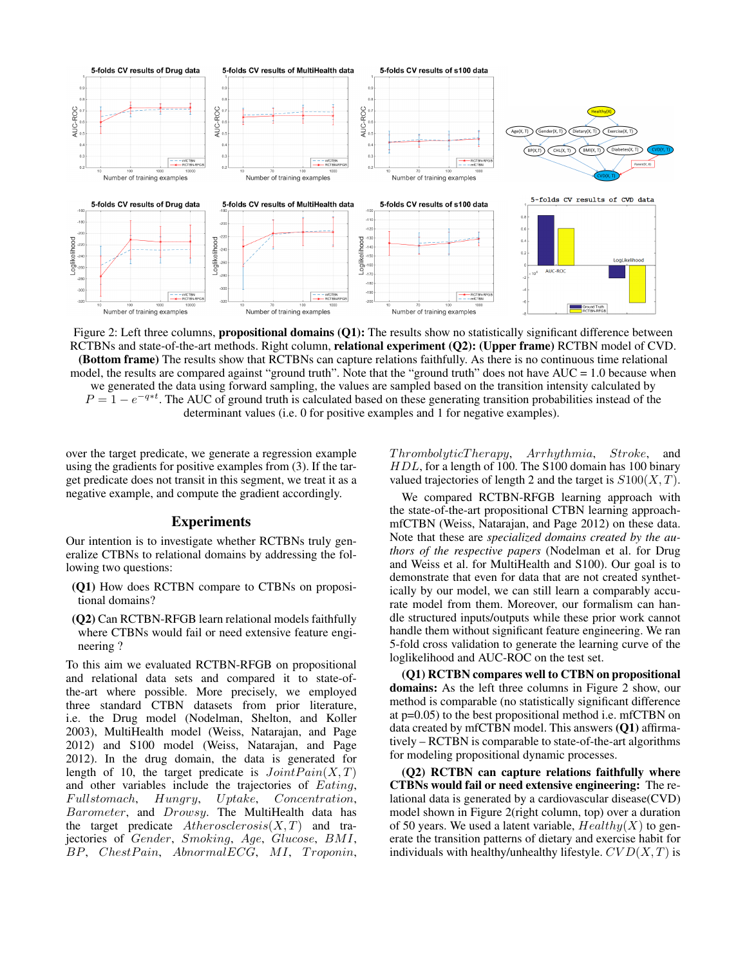

Figure 2: Left three columns, **propositional domains (Q1):** The results show no statistically significant difference between RCTBNs and state-of-the-art methods. Right column, relational experiment (Q2): (Upper frame) RCTBN model of CVD. (Bottom frame) The results show that RCTBNs can capture relations faithfully. As there is no continuous time relational model, the results are compared against "ground truth". Note that the "ground truth" does not have AUC = 1.0 because when we generated the data using forward sampling, the values are sampled based on the transition intensity calculated by  $P = 1 - e^{-q*t}$ . The AUC of ground truth is calculated based on these generating transition probabilities instead of the determinant values (i.e. 0 for positive examples and 1 for negative examples).

over the target predicate, we generate a regression example using the gradients for positive examples from (3). If the target predicate does not transit in this segment, we treat it as a negative example, and compute the gradient accordingly.

## Experiments

Our intention is to investigate whether RCTBNs truly generalize CTBNs to relational domains by addressing the following two questions:

- (Q1) How does RCTBN compare to CTBNs on propositional domains?
- (Q2) Can RCTBN-RFGB learn relational models faithfully where CTBNs would fail or need extensive feature engineering ?

To this aim we evaluated RCTBN-RFGB on propositional and relational data sets and compared it to state-ofthe-art where possible. More precisely, we employed three standard CTBN datasets from prior literature, i.e. the Drug model (Nodelman, Shelton, and Koller 2003), MultiHealth model (Weiss, Natarajan, and Page 2012) and S100 model (Weiss, Natarajan, and Page 2012). In the drug domain, the data is generated for length of 10, the target predicate is  $Joint Pain(X, T)$ and other variables include the trajectories of Eating, Fullstomach, Hungry, Uptake, Concentration, Barometer, and Drowsy. The MultiHealth data has the target predicate  $A the rosclerosis(X, T)$  and trajectories of Gender, Smoking, Age, Glucose, BMI, BP, ChestPain, AbnormalECG, MI, Troponin,

 $Throughout Theory, Arrhythmia, Stroke,$ HDL, for a length of 100. The S100 domain has 100 binary valued trajectories of length 2 and the target is  $S100(X, T)$ .

We compared RCTBN-RFGB learning approach with the state-of-the-art propositional CTBN learning approachmfCTBN (Weiss, Natarajan, and Page 2012) on these data. Note that these are *specialized domains created by the authors of the respective papers* (Nodelman et al. for Drug and Weiss et al. for MultiHealth and S100). Our goal is to demonstrate that even for data that are not created synthetically by our model, we can still learn a comparably accurate model from them. Moreover, our formalism can handle structured inputs/outputs while these prior work cannot handle them without significant feature engineering. We ran 5-fold cross validation to generate the learning curve of the loglikelihood and AUC-ROC on the test set.

(Q1) RCTBN compares well to CTBN on propositional domains: As the left three columns in Figure 2 show, our method is comparable (no statistically significant difference at p=0.05) to the best propositional method i.e. mfCTBN on data created by mfCTBN model. This answers (Q1) affirmatively – RCTBN is comparable to state-of-the-art algorithms for modeling propositional dynamic processes.

(Q2) RCTBN can capture relations faithfully where CTBNs would fail or need extensive engineering: The relational data is generated by a cardiovascular disease(CVD) model shown in Figure 2(right column, top) over a duration of 50 years. We used a latent variable,  $Healthy(X)$  to generate the transition patterns of dietary and exercise habit for individuals with healthy/unhealthy lifestyle.  $CVD(X, T)$  is